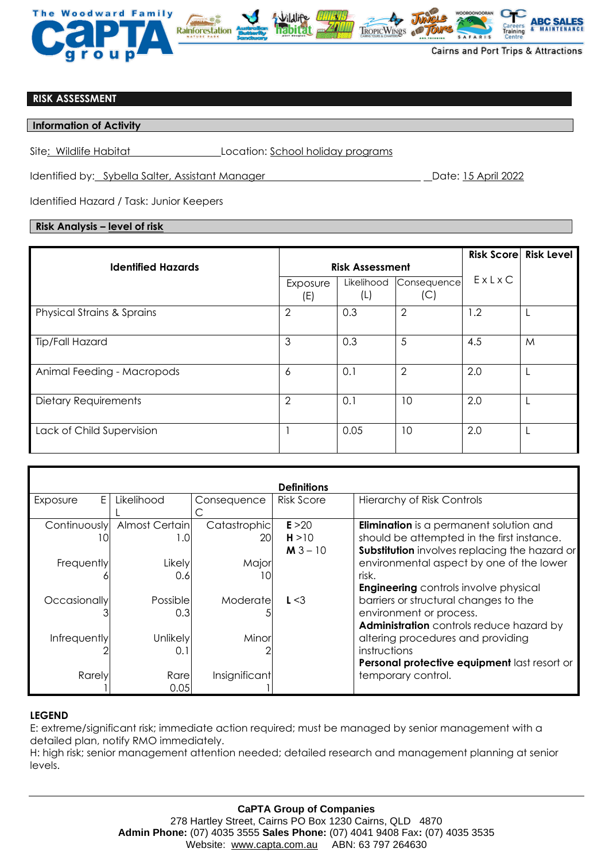

## **RISK ASSESSMENT**

#### **Information of Activity**

Site: Wildlife Habitat Location: School holiday programs

Identified by: Sybella Salter, Assistant Manager Date: 15 April 2022

Identified Hazard / Task: Junior Keepers

## **Risk Analysis – level of risk**

| <b>Identified Hazards</b><br><b>Risk Assessment</b> |                 |                   |                    |       | <b>Risk Score Risk Level</b> |
|-----------------------------------------------------|-----------------|-------------------|--------------------|-------|------------------------------|
|                                                     | Exposure<br>(E) | Likelihood<br>(L) | Consequence<br>(C) | ExLxC |                              |
| <b>Physical Strains &amp; Sprains</b>               | $\overline{2}$  | 0.3               | $\overline{2}$     | 1.2   |                              |
| <b>Tip/Fall Hazard</b>                              | 3               | 0.3               | 5                  | 4.5   | M                            |
| Animal Feeding - Macropods                          | 6               | 0.1               | $\overline{2}$     | 2.0   |                              |
| Dietary Requirements                                | $\overline{2}$  | 0.1               | 10                 | 2.0   |                              |
| Lack of Child Supervision                           |                 | 0.05              | 10                 | 2.0   |                              |

| <b>Definitions</b> |                        |                     |                               |                                                                                                                                               |  |  |  |  |  |
|--------------------|------------------------|---------------------|-------------------------------|-----------------------------------------------------------------------------------------------------------------------------------------------|--|--|--|--|--|
| E.<br>Exposure     | Likelihood             | Consequence         | <b>Risk Score</b>             | <b>Hierarchy of Risk Controls</b>                                                                                                             |  |  |  |  |  |
| Continuously<br>10 | Almost Certain<br>1.0  | Catastrophic<br>201 | E > 20<br>H > 10<br>$M3 - 10$ | <b>Elimination</b> is a permanent solution and<br>should be attempted in the first instance.<br>Substitution involves replacing the hazard or |  |  |  |  |  |
| Frequently         | Likely<br>0.6          | Major<br>10         |                               | environmental aspect by one of the lower<br>risk.<br><b>Engineering</b> controls involve physical                                             |  |  |  |  |  |
| Occasionally       | Possiblel<br>0.3       | Moderate            | L < 3                         | barriers or structural changes to the<br>environment or process.<br>Administration controls reduce hazard by                                  |  |  |  |  |  |
| Infrequently       | <b>Unlikely</b><br>0.1 | Minor               |                               | altering procedures and providing<br>instructions<br>Personal protective equipment last resort or                                             |  |  |  |  |  |
| Rarely             | Rare<br>0.05           | Insignificant       |                               | temporary control.                                                                                                                            |  |  |  |  |  |

# **LEGEND**

E: extreme/significant risk; immediate action required; must be managed by senior management with a detailed plan, notify RMO immediately.

H: high risk; senior management attention needed; detailed research and management planning at senior levels.